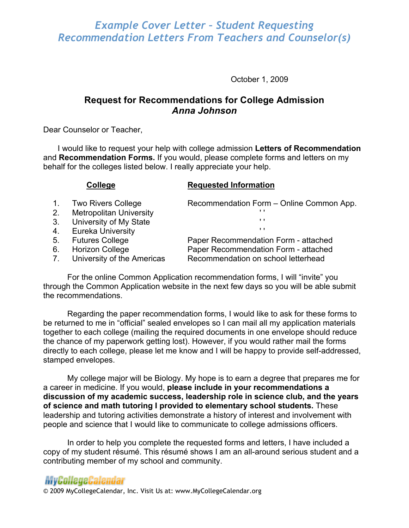## *Example Cover Letter – Student Requesting Recommendation Letters From Teachers and Counselor(s)*

October 1, 2009

## **Request for Recommendations for College Admission** *Anna Johnson*

Dear Counselor or Teacher,

I would like to request your help with college admission **Letters of Recommendation** and **Recommendation Forms.** If you would, please complete forms and letters on my behalf for the colleges listed below. I really appreciate your help.

|    | College                        | <b>Requested Information</b>             |
|----|--------------------------------|------------------------------------------|
|    | <b>Two Rivers College</b>      | Recommendation Form - Online Common App. |
| 2. | <b>Metropolitan University</b> | . .                                      |
| 3. | University of My State         | $\mathbf{r}$                             |
| 4. | <b>Eureka University</b>       | $\mathbf{r}$                             |
| 5. | <b>Futures College</b>         | Paper Recommendation Form - attached     |
| 6. | <b>Horizon College</b>         | Paper Recommendation Form - attached     |
| 7. | University of the Americas     | Recommendation on school letterhead      |

For the online Common Application recommendation forms, I will "invite" you through the Common Application website in the next few days so you will be able submit the recommendations.

Regarding the paper recommendation forms, I would like to ask for these forms to be returned to me in "official" sealed envelopes so I can mail all my application materials together to each college (mailing the required documents in one envelope should reduce the chance of my paperwork getting lost). However, if you would rather mail the forms directly to each college, please let me know and I will be happy to provide self-addressed, stamped envelopes.

My college major will be Biology. My hope is to earn a degree that prepares me for a career in medicine. If you would, **please include in your recommendations a discussion of my academic success, leadership role in science club, and the years of science and math tutoring I provided to elementary school students.** These leadership and tutoring activities demonstrate a history of interest and involvement with people and science that I would like to communicate to college admissions officers.

In order to help you complete the requested forms and letters, I have included a copy of my student résumé. This résumé shows I am an all-around serious student and a contributing member of my school and community.